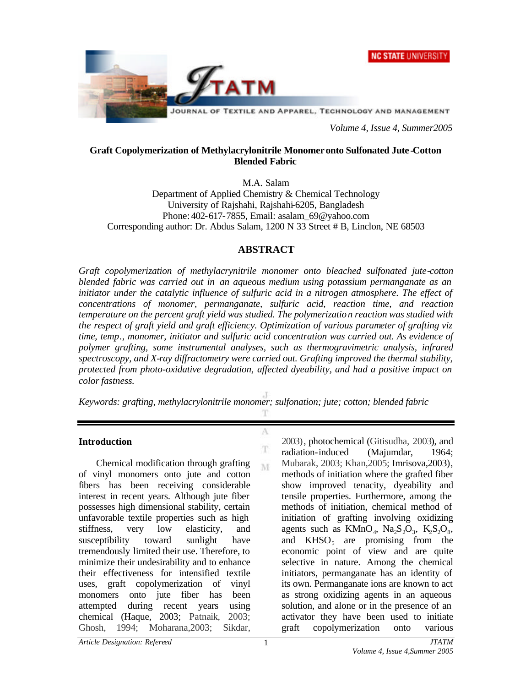



*Volume 4, Issue 4, Summer2005*

### **Graft Copolymerization of Methylacrylonitrile Monomer onto Sulfonated Jute -Cotton Blended Fabric**

M.A. Salam

Department of Applied Chemistry & Chemical Technology University of Rajshahi, Rajshahi-6205, Bangladesh Phone: 402-617-7855, Email: asalam\_69@yahoo.com Corresponding author: Dr. Abdus Salam, 1200 N 33 Street # B, Linclon, NE 68503

# **ABSTRACT**

*Graft copolymerization of methylacrynitrile monomer onto bleached sulfonated jute-cotton blended fabric was carried out in an aqueous medium using potassium permanganate as an initiator under the catalytic influence of sulfuric acid in a nitrogen atmosphere. The effect of concentrations of monomer, permanganate, sulfuric acid, reaction time, and reaction temperature on the percent graft yield was studied. The polymerization reaction was studied with the respect of graft yield and graft efficiency. Optimization of various parameter of grafting viz time, temp., monomer, initiator and sulfuric acid concentration was carried out. As evidence of polymer grafting, some instrumental analyses, such as thermogravimetric analysis, infrared spectroscopy, and X-ray diffractometry were carried out. Grafting improved the thermal stability, protected from photo-oxidative degradation, affected dyeability, and had a positive impact on color fastness.*

*Keywords: grafting, methylacrylonitrile monomer; sulfonation; jute; cotton; blended fabric*

T

A

T M

# **Introduction**

 Chemical modification through grafting of vinyl monomers onto jute and cotton fibers has been receiving considerable interest in recent years. Although jute fiber possesses high dimensional stability, certain unfavorable textile properties such as high stiffness, very low elasticity, and susceptibility toward sunlight have tremendously limited their use. Therefore, to minimize their undesirability and to enhance their effectiveness for intensified textile uses, graft copolymerization of vinyl monomers onto jute fiber has been attempted during recent years using chemical (Haque, 2003; Patnaik, 2003; Ghosh, 1994; Moharana,2003; Sikdar,

2003), photochemical (Gitisudha, 2003), and radiation-induced (Majumdar, 1964; Mubarak, 2003; Khan,2005; Imrisova,2003), methods of initiation where the grafted fiber show improved tenacity, dyeability and tensile properties. Furthermore, among the methods of initiation, chemical method of initiation of grafting involving oxidizing agents such as  $KMnO_4$ ,  $Na_2S_2O_3$ ,  $K_2S_2O_8$ , and  $KHSO<sub>5</sub>$  are promising from the economic point of view and are quite selective in nature. Among the chemical initiators, permanganate has an identity of its own. Permanganate ions are known to act as strong oxidizing agents in an aqueous solution, and alone or in the presence of an activator they have been used to initiate graft copolymerization onto various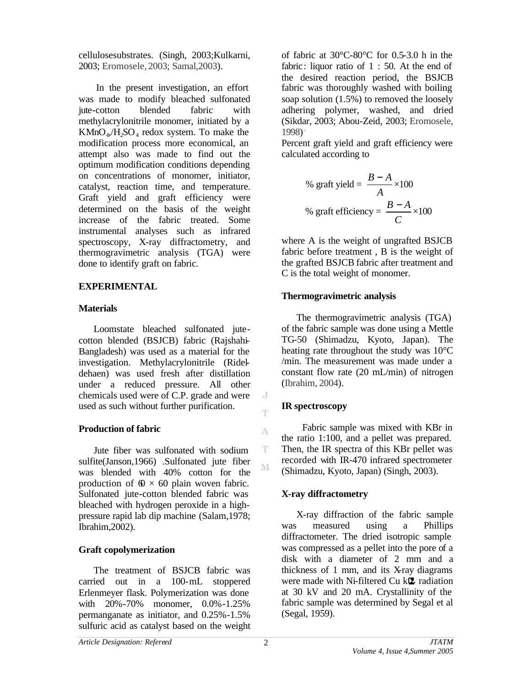cellulosesubstrates. (Singh, 2003;Kulkarni, 2003; Eromosele, 2003; Samal,2003).

 In the present investigation, an effort was made to modify bleached sulfonated jute-cotton blended fabric with methylacrylonitrile monomer, initiated by a  $KMnO<sub>4</sub>,H<sub>2</sub>SO<sub>4</sub>$  redox system. To make the modification process more economical, an attempt also was made to find out the optimum modification conditions depending on concentrations of monomer, initiator, catalyst, reaction time, and temperature. Graft yield and graft efficiency were determined on the basis of the weight increase of the fabric treated. Some instrumental analyses such as infrared spectroscopy, X-ray diffractometry, and thermogravimetric analysis (TGA) were done to identify graft on fabric.

# **EXPERIMENTAL**

# **Materials**

 Loomstate bleached sulfonated jutecotton blended (BSJCB) fabric (Rajshahi-Bangladesh) was used as a material for the investigation. Methylacrylonitrile (Rideldehaen) was used fresh after distillation under a reduced pressure. All other chemicals used were of C.P. grade and were used as such without further purification.

# **Production of fabric**

 Jute fiber was sulfonated with sodium sulfite(Janson,1966) .Sulfonated jute fiber was blended with 40% cotton for the production of  $\phi \times 60$  plain woven fabric. Sulfonated jute-cotton blended fabric was bleached with hydrogen peroxide in a highpressure rapid lab dip machine (Salam,1978; Ibrahim,2002).

# **Graft copolymerization**

 The treatment of BSJCB fabric was carried out in a 100-mL stoppered Erlenmeyer flask. Polymerization was done with 20%-70% monomer, 0.0%-1.25% permanganate as initiator, and 0.25%-1.5% sulfuric acid as catalyst based on the weight of fabric at 30°C-80°C for 0.5-3.0 h in the fabric: liquor ratio of 1 : 50. At the end of the desired reaction period, the BSJCB fabric was thoroughly washed with boiling soap solution (1.5%) to removed the loosely adhering polymer, washed, and dried (Sikdar, 2003; Abou-Zeid, 2003; Eromosele, 1998) .

Percent graft yield and graft efficiency were calculated according to

% graft yield = 
$$
\frac{B-A}{A} \times 100
$$
  
% graft efficiency = 
$$
\frac{B-A}{C} \times 100
$$

where A is the weight of ungrafted BSJCB fabric before treatment , B is the weight of the grafted BSJCB fabric after treatment and C is the total weight of monomer.

# **Thermogravimetric analysis**

 The thermogravimetric analysis (TGA) of the fabric sample was done using a Mettle TG-50 (Shimadzu, Kyoto, Japan). The heating rate throughout the study was 10°C /min. The measurement was made under a constant flow rate (20 mL/min) of nitrogen (Ibrahim, 2004).

# **IR spectroscopy**

 Fabric sample was mixed with KBr in the ratio 1:100, and a pellet was prepared. Then, the IR spectra of this KBr pellet was recorded with IR-470 infrared spectrometer (Shimadzu, Kyoto, Japan) (Singh, 2003).

# **X-ray diffractometry**

 X-ray diffraction of the fabric sample was measured using a Phillips diffractometer. The dried isotropic sample was compressed as a pellet into the pore of a disk with a diameter of 2 mm and a thickness of 1 mm, and its X-ray diagrams were made with Ni-filtered Cu k<sup>U</sup> radiation at 30 kV and 20 mA. Crystallinity of the fabric sample was determined by Segal et al (Segal, 1959).

 $\rm J$ m

A

T M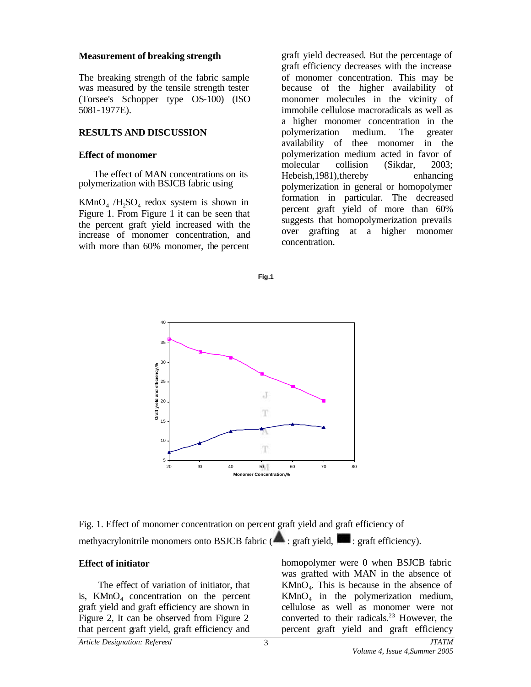#### **Measurement of breaking strength**

The breaking strength of the fabric sample was measured by the tensile strength tester (Torsee's Schopper type OS-100) (ISO 5081-1977E).

### **RESULTS AND DISCUSSION**

### **Effect of monomer**

 The effect of MAN concentrations on its polymerization with BSJCB fabric using

 $KMnO<sub>4</sub> /H<sub>2</sub>SO<sub>4</sub>$  redox system is shown in Figure 1. From Figure 1 it can be seen that the percent graft yield increased with the increase of monomer concentration, and with more than 60% monomer, the percent

graft yield decreased. But the percentage of graft efficiency decreases with the increase of monomer concentration. This may be because of the higher availability of monomer molecules in the vicinity of immobile cellulose macroradicals as well as a higher monomer concentration in the polymerization medium. The greater availability of thee monomer in the polymerization medium acted in favor of molecular collision (Sikdar, 2003; Hebeish,1981),thereby enhancing polymerization in general or homopolymer formation in particular. The decreased percent graft yield of more than 60% suggests that homopolymerization prevails over grafting at a higher monomer concentration.





Fig. 1. Effect of monomer concentration on percent graft yield and graft efficiency of methyacrylonitrile monomers onto BSJCB fabric ( $\blacksquare$ : graft yield,  $\blacksquare$ : graft efficiency).

# **Effect of initiator**

 The effect of variation of initiator, that is,  $K MnO<sub>4</sub>$  concentration on the percent graft yield and graft efficiency are shown in Figure 2, It can be observed from Figure 2 that percent graft yield, graft efficiency and

homopolymer were 0 when BSJCB fabric was grafted with MAN in the absence of  $KMnO<sub>4</sub>$ . This is because in the absence of  $KMnO<sub>4</sub>$  in the polymerization medium, cellulose as well as monomer were not converted to their radicals. $23$  However, the percent graft yield and graft efficiency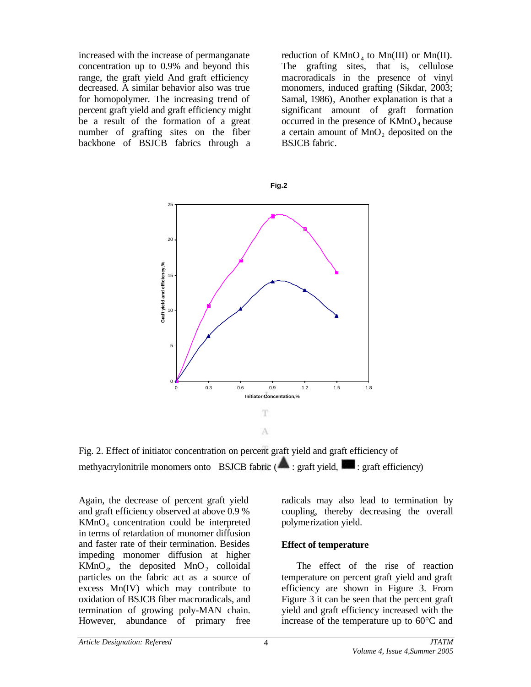increased with the increase of permanganate concentration up to 0.9% and beyond this range, the graft yield And graft efficiency decreased. A similar behavior also was true for homopolymer. The increasing trend of percent graft yield and graft efficiency might be a result of the formation of a great number of grafting sites on the fiber backbone of BSJCB fabrics through a

reduction of  $KMnO_4$  to  $Mn(III)$  or  $Mn(II)$ . The grafting sites, that is, cellulose macroradicals in the presence of vinyl monomers, induced grafting (Sikdar, 2003; Samal, 1986), Another explanation is that a significant amount of graft formation occurred in the presence of  $KMnO<sub>4</sub>$  because a certain amount of  $MnO<sub>2</sub>$  deposited on the BSJCB fabric.



Fig. 2. Effect of initiator concentration on percent graft yield and graft efficiency of methyacrylonitrile monomers onto BSJCB fabric  $($ **A**: graft yield,  $[$ **s** : graft efficiency)

Again, the decrease of percent graft yield and graft efficiency observed at above 0.9 % KMnO<sup>4</sup> concentration could be interpreted in terms of retardation of monomer diffusion and faster rate of their termination. Besides impeding monomer diffusion at higher  $KMnO<sub>4</sub>$ , the deposited  $MnO<sub>2</sub>$  colloidal particles on the fabric act as a source of excess Mn(IV) which may contribute to oxidation of BSJCB fiber macroradicals, and termination of growing poly-MAN chain. However, abundance of primary free radicals may also lead to termination by coupling, thereby decreasing the overall polymerization yield.

#### **Effect of temperature**

 The effect of the rise of reaction temperature on percent graft yield and graft efficiency are shown in Figure 3. From Figure 3 it can be seen that the percent graft yield and graft efficiency increased with the increase of the temperature up to 60°C and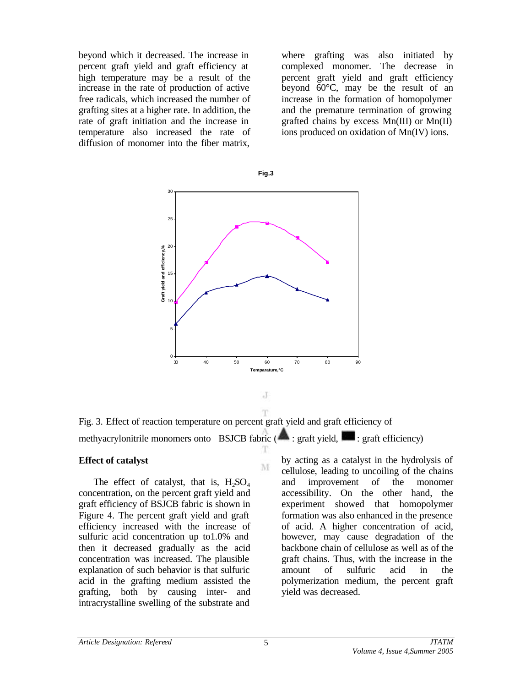beyond which it decreased. The increase in percent graft yield and graft efficiency at high temperature may be a result of the increase in the rate of production of active free radicals, which increased the number of grafting sites at a higher rate. In addition, the rate of graft initiation and the increase in temperature also increased the rate of diffusion of monomer into the fiber matrix,

where grafting was also initiated by complexed monomer. The decrease in percent graft yield and graft efficiency beyond 60°C, may be the result of an increase in the formation of homopolymer and the premature termination of growing grafted chains by excess Mn(III) or Mn(II) ions produced on oxidation of Mn(IV) ions.





T Fig. 3. Effect of reaction temperature on percent graft yield and graft efficiency of methyacrylonitrile monomers onto BSJCB fabric  $(\bullet \bullet)$ : graft yield,  $\bullet$ : graft efficiency)

 $_{\rm d}$ 

M

#### **Effect of catalyst**

The effect of catalyst, that is,  $H_2SO_4$ concentration, on the percent graft yield and graft efficiency of BSJCB fabric is shown in Figure 4. The percent graft yield and graft efficiency increased with the increase of sulfuric acid concentration up to1.0% and then it decreased gradually as the acid concentration was increased. The plausible explanation of such behavior is that sulfuric acid in the grafting medium assisted the grafting, both by causing inter- and intracrystalline swelling of the substrate and

by acting as a catalyst in the hydrolysis of cellulose, leading to uncoiling of the chains and improvement of the monomer accessibility. On the other hand, the experiment showed that homopolymer formation was also enhanced in the presence of acid. A higher concentration of acid, however, may cause degradation of the backbone chain of cellulose as well as of the graft chains. Thus, with the increase in the amount of sulfuric acid in the polymerization medium, the percent graft yield was decreased.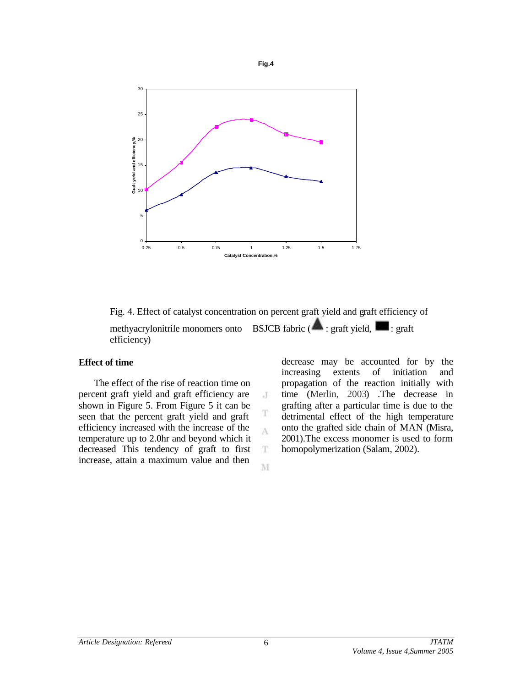

**Fig.4**

Fig. 4. Effect of catalyst concentration on percent graft yield and graft efficiency of methyacrylonitrile monomers onto BSJCB fabric (**A**: graft yield, **Red**: graft efficiency)

 $\cdot$ 

T A

 $\mathbf T$ 

M

# **Effect of time**

 The effect of the rise of reaction time on percent graft yield and graft efficiency are shown in Figure 5. From Figure 5 it can be seen that the percent graft yield and graft efficiency increased with the increase of the temperature up to 2.0hr and beyond which it decreased This tendency of graft to first increase, attain a maximum value and then

decrease may be accounted for by the increasing extents of initiation and propagation of the reaction initially with time (Merlin, 2003) .The decrease in grafting after a particular time is due to the detrimental effect of the high temperature onto the grafted side chain of MAN (Misra, 2001).The excess monomer is used to form homopolymerization (Salam, 2002).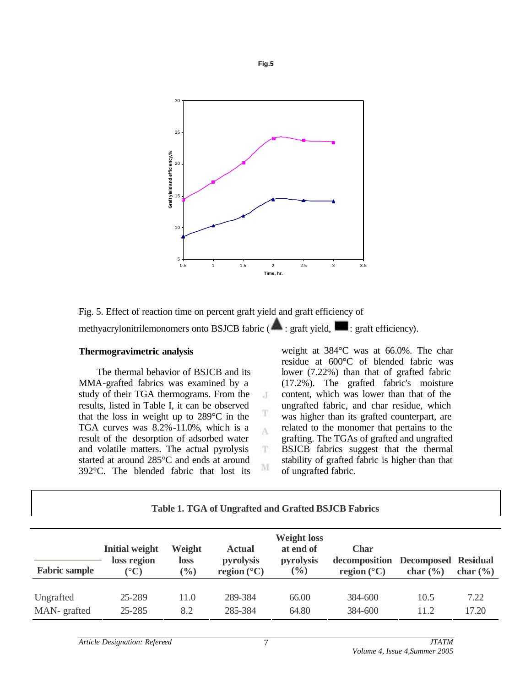

**Fig.5**

Fig. 5. Effect of reaction time on percent graft yield and graft efficiency of methyacrylonitrilemonomers onto BSJCB fabric (**ask**: graft yield, **in the efficiency**).

### **Thermogravimetric analysis**

 The thermal behavior of BSJCB and its MMA-grafted fabrics was examined by a study of their TGA thermograms. From the results, listed in Table I, it can be observed that the loss in weight up to 289°C in the TGA curves was 8.2%-11.0%, which is a result of the desorption of adsorbed water and volatile matters. The actual pyrolysis started at around 285°C and ends at around 392°C. The blended fabric that lost its

weight at 384°C was at 66.0%. The char residue at 600°C of blended fabric was lower (7.22%) than that of grafted fabric (17.2%). The grafted fabric's moisture content, which was lower than that of the ungrafted fabric, and char residue, which was higher than its grafted counterpart, are related to the monomer that pertains to the grafting. The TGAs of grafted and ungrafted BSJCB fabrics suggest that the thermal stability of grafted fabric is higher than that of ungrafted fabric.

| Table 1. TGA of Ungrafted and Grafted BSJCB Fabrics |                                      |                            |                            |                                              |                              |                            |              |
|-----------------------------------------------------|--------------------------------------|----------------------------|----------------------------|----------------------------------------------|------------------------------|----------------------------|--------------|
|                                                     | <b>Initial weight</b><br>loss region | Weight<br>loss             | <b>Actual</b><br>pyrolysis | <b>Weight loss</b><br>at end of<br>pyrolysis | <b>Char</b><br>decomposition | <b>Decomposed Residual</b> |              |
| <b>Fabric sample</b>                                | $({}^{\circ}{\mathbb{C}})$           | $\left(\frac{0}{0}\right)$ | region $(^{\circ}C)$       | $\left(\frac{0}{0}\right)$                   | region $(^{\circ}C)$         | char $(\% )$               | char $(\% )$ |
| Ungrafted                                           | 25-289                               | 11.0                       | 289-384                    | 66.00                                        | 384-600                      | 10.5                       | 7.22         |
| MAN-grafted                                         | 25-285                               | 8.2                        | 285-384                    | 64.80                                        | 384-600                      | 11.2                       | 17.20        |
|                                                     |                                      |                            |                            |                                              |                              |                            |              |

#### **Table 1. TGA of Ungrafted and Grafted BSJCB Fabrics**

 $\cdot$ 

T A

 $\mathbf T$ 

M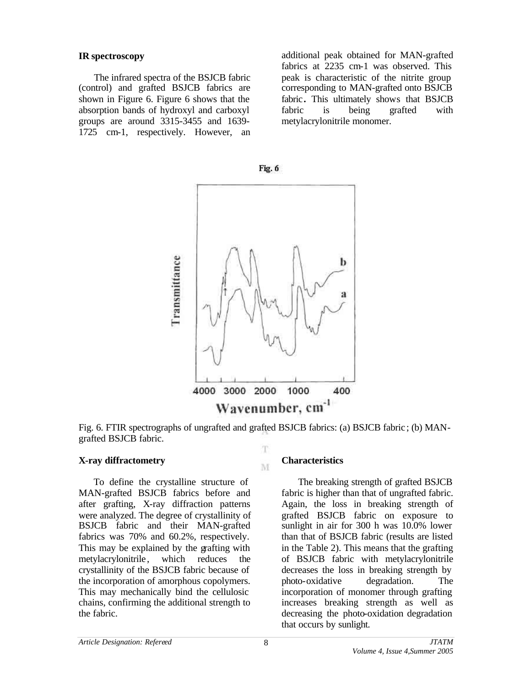### **IR spectroscopy**

 The infrared spectra of the BSJCB fabric (control) and grafted BSJCB fabrics are shown in Figure 6. Figure 6 shows that the absorption bands of hydroxyl and carboxyl groups are around 3315-3455 and 1639- 1725 cm-1, respectively. However, an additional peak obtained for MAN-grafted fabrics at 2235 cm-1 was observed. This peak is characteristic of the nitrite group corresponding to MAN-grafted onto BSJCB fabric**.** This ultimately shows that BSJCB fabric is being grafted with metylacrylonitrile monomer.



Fig. 6. FTIR spectrographs of ungrafted and grafted BSJCB fabrics: (a) BSJCB fabric ; (b) MANgrafted BSJCB fabric. T

M

### **X-ray diffractometry**

 To define the crystalline structure of MAN-grafted BSJCB fabrics before and after grafting, X-ray diffraction patterns were analyzed. The degree of crystallinity of BSJCB fabric and their MAN-grafted fabrics was 70% and 60.2%, respectively. This may be explained by the grafting with metylacrylonitrile, which reduces the crystallinity of the BSJCB fabric because of the incorporation of amorphous copolymers. This may mechanically bind the cellulosic chains, confirming the additional strength to the fabric.

### **Characteristics**

 The breaking strength of grafted BSJCB fabric is higher than that of ungrafted fabric. Again, the loss in breaking strength of grafted BSJCB fabric on exposure to sunlight in air for 300 h was 10.0% lower than that of BSJCB fabric (results are listed in the Table 2). This means that the grafting of BSJCB fabric with metylacrylonitrile decreases the loss in breaking strength by photo-oxidative degradation. The incorporation of monomer through grafting increases breaking strength as well as decreasing the photo-oxidation degradation that occurs by sunlight.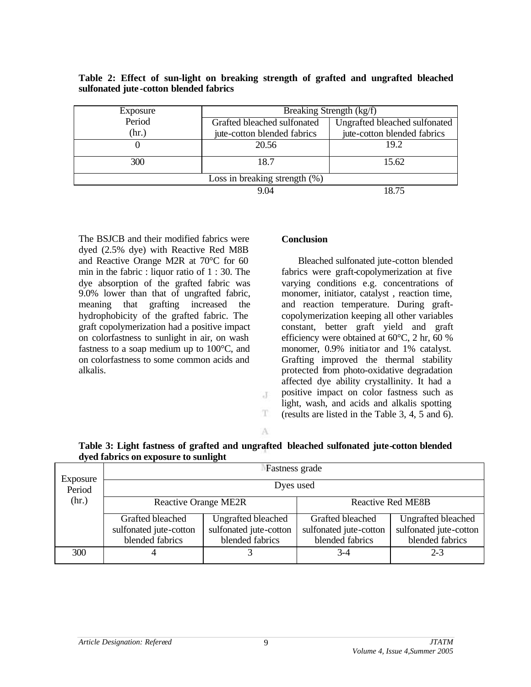| Exposure                         | Breaking Strength (kg/f)    |                               |  |  |  |
|----------------------------------|-----------------------------|-------------------------------|--|--|--|
| Period                           | Grafted bleached sulfonated | Ungrafted bleached sulfonated |  |  |  |
| (hr.)                            | jute-cotton blended fabrics | jute-cotton blended fabrics   |  |  |  |
| O                                | 20.56                       | 19.2                          |  |  |  |
| 300                              | 18.7                        | 15.62                         |  |  |  |
| Loss in breaking strength $(\%)$ |                             |                               |  |  |  |
|                                  | 9.04                        | 18.75                         |  |  |  |

### **Table 2: Effect of sun-light on breaking strength of grafted and ungrafted bleached sulfonated jute -cotton blended fabrics**

The BSJCB and their modified fabrics were dyed (2.5% dye) with Reactive Red M8B and Reactive Orange M2R at 70°C for 60 min in the fabric : liquor ratio of 1 : 30. The dye absorption of the grafted fabric was 9.0% lower than that of ungrafted fabric, meaning that grafting increased the hydrophobicity of the grafted fabric. The graft copolymerization had a positive impact on colorfastness to sunlight in air, on wash fastness to a soap medium up to 100°C, and on colorfastness to some common acids and alkalis.

### **Conclusion**

 Bleached sulfonated jute-cotton blended fabrics were graft-copolymerization at five varying conditions e.g. concentrations of monomer, initiator, catalyst , reaction time, and reaction temperature. During graftcopolymerization keeping all other variables constant, better graft yield and graft efficiency were obtained at 60°C, 2 hr, 60 % monomer, 0.9% initiator and 1% catalyst. Grafting improved the thermal stability protected from photo-oxidative degradation affected dye ability crystallinity. It had a positive impact on color fastness such as light, wash, and acids and alkalis spotting (results are listed in the Table 3, 4, 5 and 6).

A

J

T.

|                                      | Table 3: Light fastness of grafted and ungrafted bleached sulfonated jute-cotton blended |
|--------------------------------------|------------------------------------------------------------------------------------------|
| dyed fabrics on exposure to sunlight |                                                                                          |

| Exposure | <b>Fastness</b> grade                     |                                           |                                           |                                           |  |  |
|----------|-------------------------------------------|-------------------------------------------|-------------------------------------------|-------------------------------------------|--|--|
| Period   | Dyes used                                 |                                           |                                           |                                           |  |  |
| (hr.)    | <b>Reactive Orange ME2R</b>               |                                           | <b>Reactive Red ME8B</b>                  |                                           |  |  |
|          | Grafted bleached                          | Ungrafted bleached                        | Grafted bleached                          | <b>Ungrafted bleached</b>                 |  |  |
|          | sulfonated jute-cotton<br>blended fabrics | sulfonated jute-cotton<br>blended fabrics | sulfonated jute-cotton<br>blended fabrics | sulfonated jute-cotton<br>blended fabrics |  |  |
| 300      |                                           |                                           | 3-4                                       | $2 - 3$                                   |  |  |
|          |                                           |                                           |                                           |                                           |  |  |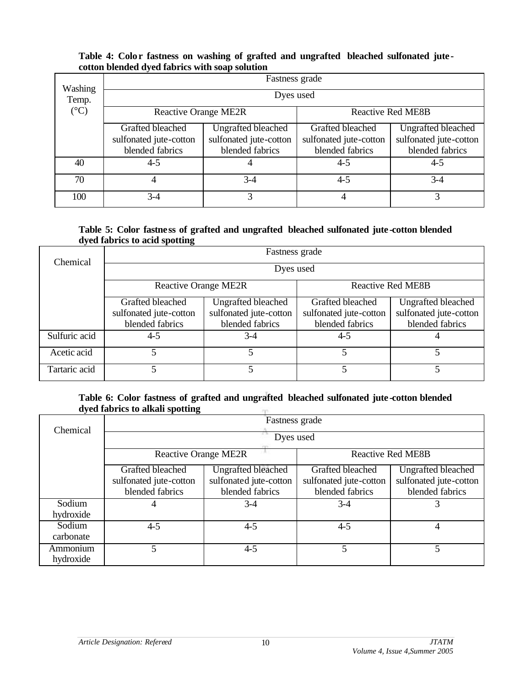### **Table 4: Color fastness on washing of grafted and ungrafted bleached sulfonated jute cotton blended dyed fabrics with soap solution**

| Washing         | Fastness grade              |                        |                          |                           |  |  |
|-----------------|-----------------------------|------------------------|--------------------------|---------------------------|--|--|
| Temp.           | Dyes used                   |                        |                          |                           |  |  |
| $({}^{\circ}C)$ | <b>Reactive Orange ME2R</b> |                        | <b>Reactive Red ME8B</b> |                           |  |  |
|                 | Grafted bleached            | Ungrafted bleached     | Grafted bleached         | <b>Ungrafted bleached</b> |  |  |
|                 | sulfonated jute-cotton      | sulfonated jute-cotton | sulfonated jute-cotton   | sulfonated jute-cotton    |  |  |
|                 | blended fabrics             | blended fabrics        | blended fabrics          | blended fabrics           |  |  |
| 40              | $4 - 5$                     |                        | $4 - 5$                  | $4 - 5$                   |  |  |
| 70              |                             | $3-4$                  | $4 - 5$                  | $3-4$                     |  |  |
| 100             | $3-4$                       | 3                      | $\overline{4}$           | 3                         |  |  |

### **Table 5: Color fastness of grafted and ungrafted bleached sulfonated jute -cotton blended dyed fabrics to acid spotting**

| Chemical      | Fastness grade              |                        |                          |                        |  |  |
|---------------|-----------------------------|------------------------|--------------------------|------------------------|--|--|
|               | Dyes used                   |                        |                          |                        |  |  |
|               | <b>Reactive Orange ME2R</b> |                        | <b>Reactive Red ME8B</b> |                        |  |  |
|               | Grafted bleached            | Ungrafted bleached     | Grafted bleached         | Ungrafted bleached     |  |  |
|               | sulfonated jute-cotton      | sulfonated jute-cotton | sulfonated jute-cotton   | sulfonated jute-cotton |  |  |
|               | blended fabrics             | blended fabrics        | blended fabrics          | blended fabrics        |  |  |
| Sulfuric acid | $4 - 5$                     | $3-4$                  | $4 - 5$                  |                        |  |  |
| Acetic acid   |                             | 5                      |                          |                        |  |  |
| Tartaric acid |                             |                        |                          |                        |  |  |

#### **Table 6: Color fastness of grafted and ungrafted bleached sulfonated jute -cotton blended dyed fabrics to alkali spotting**  m

| Chemical              | Fastness grade              |                           |                          |                           |  |  |
|-----------------------|-----------------------------|---------------------------|--------------------------|---------------------------|--|--|
|                       | Dyes used                   |                           |                          |                           |  |  |
|                       | <b>Reactive Orange ME2R</b> |                           | <b>Reactive Red ME8B</b> |                           |  |  |
|                       | Grafted bleached            | <b>Ungrafted bleached</b> | Grafted bleached         | <b>Ungrafted bleached</b> |  |  |
|                       | sulfonated jute-cotton      | sulfonated jute-cotton    | sulfonated jute-cotton   | sulfonated jute-cotton    |  |  |
|                       | blended fabrics             | blended fabrics           | blended fabrics          | blended fabrics           |  |  |
| Sodium                |                             | $3-4$                     | $3-4$                    |                           |  |  |
| hydroxide             |                             |                           |                          |                           |  |  |
| Sodium                | $4 - 5$                     | $4 - 5$                   | $4 - 5$                  | 4                         |  |  |
| carbonate             |                             |                           |                          |                           |  |  |
| Ammonium<br>hydroxide |                             | $4 - 5$                   |                          |                           |  |  |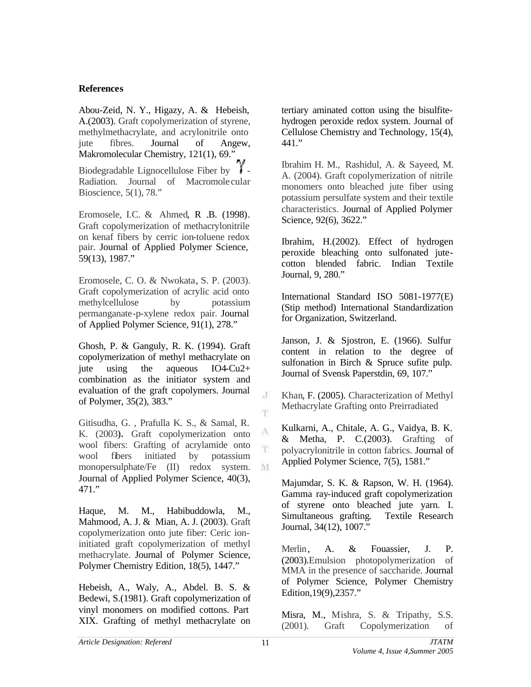# **References**

Abou-Zeid, N. Y., Higazy, A. & Hebeish, A.(2003). Graft copolymerization of styrene, methylmethacrylate, and acrylonitrile onto jute fibres. Journal of Angew, Makromolecular Chemistry, 121(1), 69." Biodegradable Lignocellulose Fiber by  $\Gamma$  -Radiation. Journal of Macromole cular Bioscience, 5(1), 78."

Eromosele, I.C. & Ahmed, R .B. (1998). Graft copolymerization of methacrylonitrile on kenaf fibers by cerric ion-toluene redox pair. Journal of Applied Polymer Science, 59(13), 1987."

Eromosele, C. O. & Nwokata, S. P. (2003). Graft copolymerization of acrylic acid onto methylcellulose by potassium permanganate-p-xylene redox pair. Journal of Applied Polymer Science, 91(1), 278."

Ghosh, P. & Ganguly, R. K. (1994). Graft copolymerization of methyl methacrylate on jute using the aqueous IO4-Cu2+ combination as the initiator system and evaluation of the graft copolymers. Journal of Polymer, 35(2), 383."

Gitisudha, G. , Prafulla K. S., & Samal, R. K. (2003**).** Graft copolymerization onto wool fibers: Grafting of acrylamide onto wool fibers initiated by potassium monopersulphate/Fe (II) redox system. Journal of Applied Polymer Science, 40(3), 471."

Haque, M. M., Habibuddowla, M., Mahmood, A. J. & Mian, A. J. (2003). Graft copolymerization onto jute fiber: Ceric ioninitiated graft copolymerization of methyl methacrylate. Journal of Polymer Science, Polymer Chemistry Edition, 18(5), 1447."

Hebeish, A., Waly, A., Abdel. B. S. & Bedewi, S.(1981). Graft copolymerization of vinyl monomers on modified cottons. Part XIX. Grafting of methyl methacrylate on tertiary aminated cotton using the bisulfitehydrogen peroxide redox system. Journal of Cellulose Chemistry and Technology, 15(4), 441."

Ibrahim H. M., Rashidul, A. & Sayeed, M. A. (2004). Graft copolymerization of nitrile monomers onto bleached jute fiber using potassium persulfate system and their textile characteristics. Journal of Applied Polymer Science, 92(6), 3622."

Ibrahim, H.(2002). Effect of hydrogen peroxide bleaching onto sulfonated jutecotton blended fabric. Indian Textile Journal, 9, 280."

International Standard ISO 5081-1977(E) (Stip method) International Standardization for Organization, Switzerland.

Janson, J. & Sjostron, E. (1966). Sulfur content in relation to the degree of sulfonation in Birch & Spruce sufite pulp. Journal of Svensk Paperstdin, 69, 107."

Khan, F. (2005). Characterization of Methyl Methacrylate Grafting onto Preirradiated

Kulkarni, A., Chitale, A. G., Vaidya, B. K. & Metha, P. C.(2003). Grafting of polyacrylonitrile in cotton fabrics. Journal of Applied Polymer Science, 7(5), 1581."

Majumdar, S. K. & Rapson, W. H. (1964). Gamma ray-induced graft copolymerization of styrene onto bleached jute yarn. I. Simultaneous grafting. Textile Research Journal, 34(12), 1007."

Merlin, A. & Fouassier, J. P. (2003).Emulsion photopolymerization of MMA in the presence of saccharide. Journal of Polymer Science, Polymer Chemistry Edition,19(9),2357."

Misra, M., Mishra, S. & Tripathy, S.S. (2001). Graft Copolymerization of

J

T

A T

M